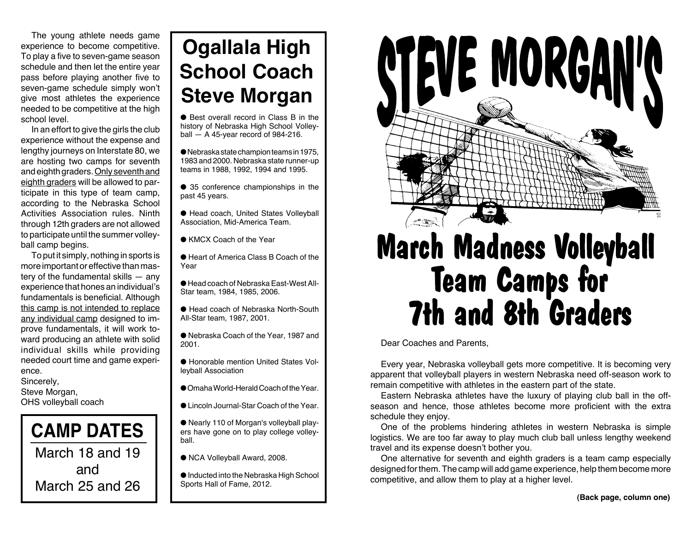The young athlete needs game experience to become competitive. To play a five to seven-game season schedule and then let the entire year pass before playing another five to seven-game schedule simply won't give most athletes the experience needed to be competitive at the high school level.

In an effort to give the girls the club experience without the expense and lengthy journeys on Interstate 80, we are hosting two camps for seventh and eighth graders. Only seventh and eighth graders will be allowed to participate in this type of team camp, according to the Nebraska School Activities Association rules. Ninth through 12th graders are not allowed to participate until the summer volleyball camp begins.

To put it simply, nothing in sports is more important or effective than mastery of the fundamental skills — any experience that hones an individual's fundamentals is beneficial. Although this camp is not intended to replace any individual camp designed to improve fundamentals, it will work toward producing an athlete with solid individual skills while providing needed court time and game experience.

Sincerely, Steve Morgan, OHS volleyball coach



## **Ogallala High School Coach Steve Morgan**

● Best overall record in Class B in the history of Nebraska High School Volleyball  $-$  A 45-year record of 984-216.

 $\bullet$  Nebraska state champion teams in 1975, 1983 and 2000. Nebraska state runner-up teams in 1988, 1992, 1994 and 1995.

● 35 conference championships in the past 45 years.

● Head coach, United States Volleyball Association, Mid-America Team.

● KMCX Coach of the Year

● Heart of America Class B Coach of the Year

● Head coach of Nebraska East-West All-Star team, 1984, 1985, 2006.

● Head coach of Nebraska North-South All-Star team, 1987, 2001.

● Nebraska Coach of the Year, 1987 and 2001.

● Honorable mention United States Volleyball Association

- Omaha World-Herald Coach of the Year.
- Lincoln Journal-Star Coach of the Year.

● Nearly 110 of Morgan's volleyball players have gone on to play college volleyball.

● NCA Volleyball Award, 2008.

● Inducted into the Nebraska High School Sports Hall of Fame, 2012.



# **March Madness Volleyball** Team Camps for 7th and 8th Graders

Dear Coaches and Parents,

Every year, Nebraska volleyball gets more competitive. It is becoming very apparent that volleyball players in western Nebraska need off-season work to remain competitive with athletes in the eastern part of the state.

Eastern Nebraska athletes have the luxury of playing club ball in the offseason and hence, those athletes become more proficient with the extra schedule they enjoy.

One of the problems hindering athletes in western Nebraska is simple logistics. We are too far away to play much club ball unless lengthy weekend travel and its expense doesn't bother you.

One alternative for seventh and eighth graders is a team camp especially designed for them. The camp will add game experience, help them become more competitive, and allow them to play at a higher level.